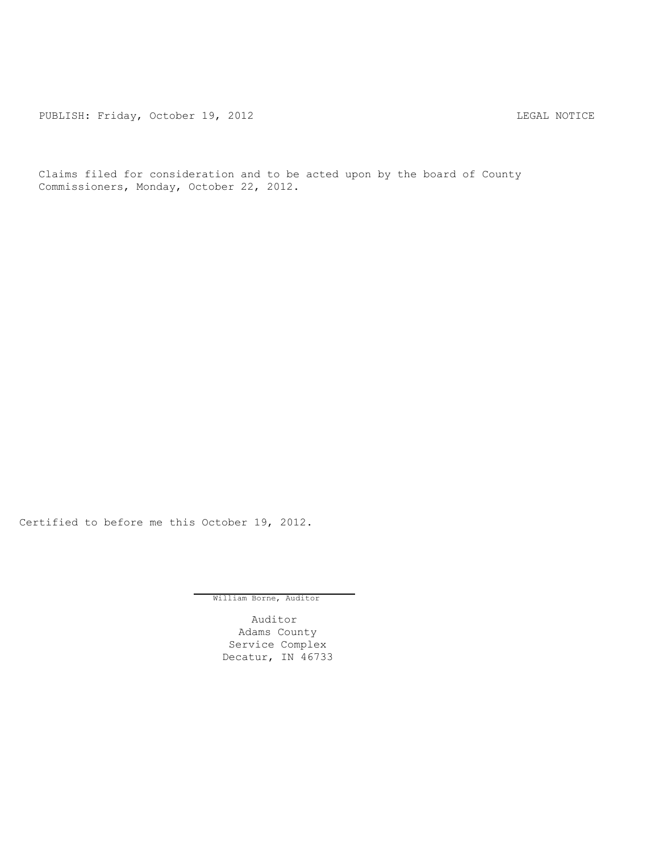PUBLISH: Friday, October 19, 2012 CHA CHARL MOTICE

Claims filed for consideration and to be acted upon by the board of County Commissioners, Monday, October 22, 2012.

Certified to before me this October 19, 2012.

William Borne, Auditor

Auditor Adams County Service Complex Decatur, IN 46733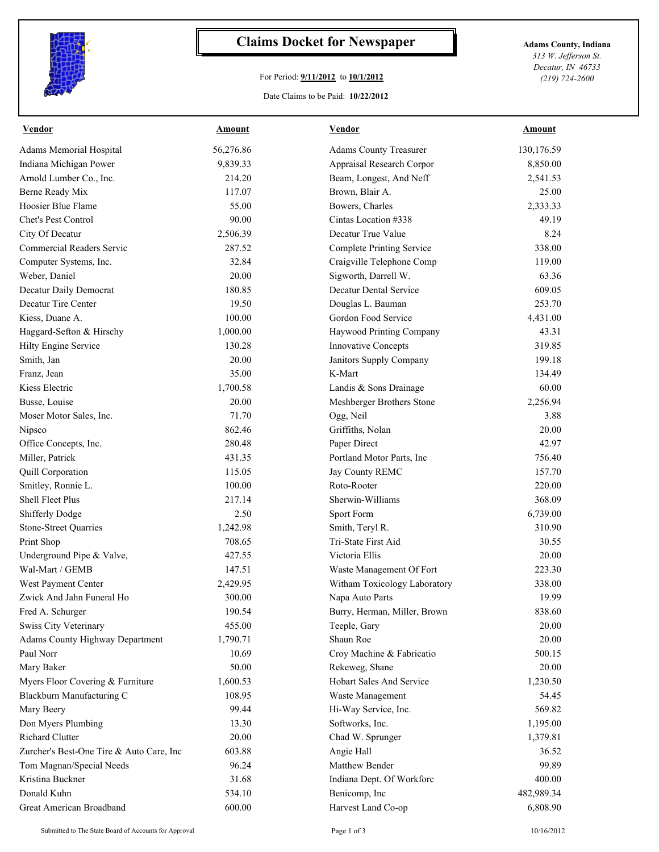

## **Claims Docket for Newspaper Adams County, Indiana**

## For Period: **9/11/2012** to **10/1/2012**

*313 W. Jefferson St. Decatur, IN 46733 (219) 724-2600*

## Date Claims to be Paid: **10/22/2012**

| <b>Vendor</b>                            | <b>Amount</b> | <b>Vendor</b>                    | <b>Amount</b> |
|------------------------------------------|---------------|----------------------------------|---------------|
| Adams Memorial Hospital                  | 56,276.86     | <b>Adams County Treasurer</b>    | 130,176.59    |
| Indiana Michigan Power                   | 9,839.33      | Appraisal Research Corpor        | 8,850.00      |
| Arnold Lumber Co., Inc.                  | 214.20        | Beam, Longest, And Neff          | 2,541.53      |
| Berne Ready Mix                          | 117.07        | Brown, Blair A.                  | 25.00         |
| Hoosier Blue Flame                       | 55.00         | Bowers, Charles                  | 2,333.33      |
| Chet's Pest Control                      | 90.00         | Cintas Location #338             | 49.19         |
| City Of Decatur                          | 2,506.39      | Decatur True Value               | 8.24          |
| <b>Commercial Readers Servic</b>         | 287.52        | <b>Complete Printing Service</b> | 338.00        |
| Computer Systems, Inc.                   | 32.84         | Craigville Telephone Comp        | 119.00        |
| Weber, Daniel                            | 20.00         | Sigworth, Darrell W.             | 63.36         |
| Decatur Daily Democrat                   | 180.85        | <b>Decatur Dental Service</b>    | 609.05        |
| Decatur Tire Center                      | 19.50         | Douglas L. Bauman                | 253.70        |
| Kiess, Duane A.                          | 100.00        | Gordon Food Service              | 4,431.00      |
| Haggard-Sefton & Hirschy                 | 1,000.00      | Haywood Printing Company         | 43.31         |
| Hilty Engine Service                     | 130.28        | <b>Innovative Concepts</b>       | 319.85        |
| Smith, Jan                               | 20.00         | Janitors Supply Company          | 199.18        |
| Franz, Jean                              | 35.00         | K-Mart                           | 134.49        |
| Kiess Electric                           | 1,700.58      | Landis & Sons Drainage           | 60.00         |
| Busse, Louise                            | 20.00         | Meshberger Brothers Stone        | 2,256.94      |
| Moser Motor Sales, Inc.                  | 71.70         | Ogg, Neil                        | 3.88          |
| Nipsco                                   | 862.46        | Griffiths, Nolan                 | 20.00         |
| Office Concepts, Inc.                    | 280.48        | Paper Direct                     | 42.97         |
| Miller, Patrick                          | 431.35        | Portland Motor Parts, Inc.       | 756.40        |
| Quill Corporation                        | 115.05        | Jay County REMC                  | 157.70        |
| Smitley, Ronnie L.                       | 100.00        | Roto-Rooter                      | 220.00        |
| Shell Fleet Plus                         | 217.14        | Sherwin-Williams                 | 368.09        |
| Shifferly Dodge                          | 2.50          | Sport Form                       | 6,739.00      |
| <b>Stone-Street Quarries</b>             | 1,242.98      | Smith, Teryl R.                  | 310.90        |
| Print Shop                               | 708.65        | Tri-State First Aid              | 30.55         |
| Underground Pipe & Valve,                | 427.55        | Victoria Ellis                   | 20.00         |
| Wal-Mart / GEMB                          | 147.51        | Waste Management Of Fort         | 223.30        |
| West Payment Center                      | 2,429.95      | Witham Toxicology Laboratory     | 338.00        |
| Zwick And Jahn Funeral Ho                | 300.00        | Napa Auto Parts                  | 19.99         |
| Fred A. Schurger                         | 190.54        | Burry, Herman, Miller, Brown     | 838.60        |
| <b>Swiss City Veterinary</b>             | 455.00        | Teeple, Gary                     | 20.00         |
| <b>Adams County Highway Department</b>   | 1,790.71      | Shaun Roe                        | 20.00         |
| Paul Norr                                | 10.69         | Croy Machine & Fabricatio        | 500.15        |
| Mary Baker                               | 50.00         | Rekeweg, Shane                   | 20.00         |
| Myers Floor Covering & Furniture         | 1,600.53      | Hobart Sales And Service         | 1,230.50      |
| Blackburn Manufacturing C                | 108.95        | Waste Management                 | 54.45         |
| Mary Beery                               | 99.44         | Hi-Way Service, Inc.             | 569.82        |
| Don Myers Plumbing                       | 13.30         | Softworks, Inc.                  | 1,195.00      |
| Richard Clutter                          | 20.00         | Chad W. Sprunger                 | 1,379.81      |
| Zurcher's Best-One Tire & Auto Care, Inc | 603.88        | Angie Hall                       | 36.52         |
| Tom Magnan/Special Needs                 | 96.24         | Matthew Bender                   | 99.89         |
| Kristina Buckner                         | 31.68         | Indiana Dept. Of Workforc        | 400.00        |
| Donald Kuhn                              | 534.10        | Benicomp, Inc                    | 482,989.34    |
| Great American Broadband                 | 600.00        | Harvest Land Co-op               | 6,808.90      |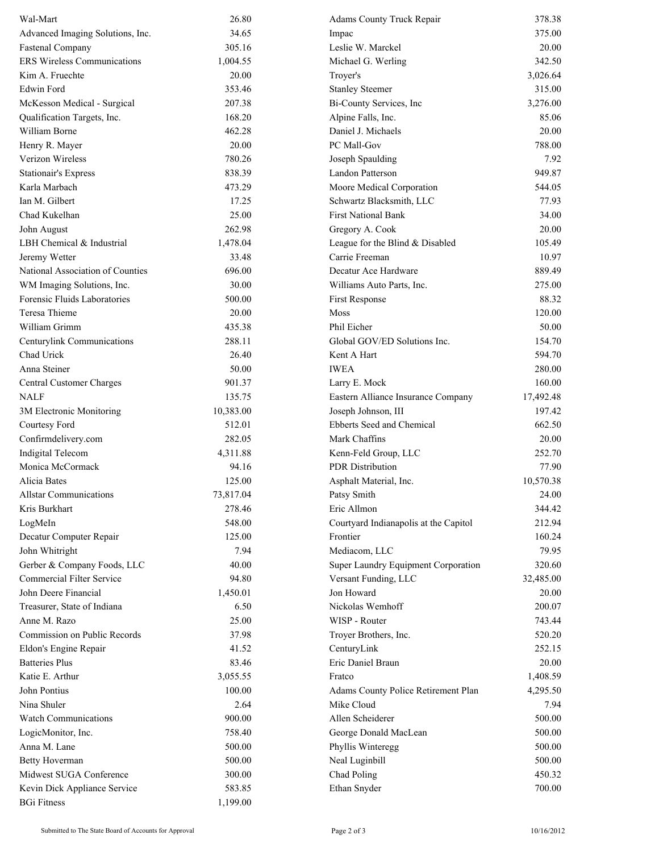| Wal-Mart                           | 26.80     | Adams County Truck Repair             | 378.38    |
|------------------------------------|-----------|---------------------------------------|-----------|
| Advanced Imaging Solutions, Inc.   | 34.65     | Impac                                 | 375.00    |
| <b>Fastenal Company</b>            | 305.16    | Leslie W. Marckel                     | 20.00     |
| <b>ERS Wireless Communications</b> | 1,004.55  | Michael G. Werling                    | 342.50    |
| Kim A. Fruechte                    | 20.00     | Troyer's                              | 3,026.64  |
| Edwin Ford                         | 353.46    | <b>Stanley Steemer</b>                | 315.00    |
| McKesson Medical - Surgical        | 207.38    | Bi-County Services, Inc               | 3,276.00  |
| Qualification Targets, Inc.        | 168.20    | Alpine Falls, Inc.                    | 85.06     |
| William Borne                      | 462.28    | Daniel J. Michaels                    | 20.00     |
| Henry R. Mayer                     | 20.00     | PC Mall-Gov                           | 788.00    |
| Verizon Wireless                   | 780.26    | Joseph Spaulding                      | 7.92      |
| <b>Stationair's Express</b>        | 838.39    | Landon Patterson                      | 949.87    |
| Karla Marbach                      | 473.29    | Moore Medical Corporation             | 544.05    |
| Ian M. Gilbert                     | 17.25     | Schwartz Blacksmith, LLC              | 77.93     |
| Chad Kukelhan                      | 25.00     | <b>First National Bank</b>            | 34.00     |
| John August                        | 262.98    | Gregory A. Cook                       | 20.00     |
| LBH Chemical & Industrial          | 1,478.04  | League for the Blind & Disabled       | 105.49    |
| Jeremy Wetter                      | 33.48     | Carrie Freeman                        | 10.97     |
| National Association of Counties   | 696.00    | Decatur Ace Hardware                  | 889.49    |
| WM Imaging Solutions, Inc.         | 30.00     | Williams Auto Parts, Inc.             | 275.00    |
| Forensic Fluids Laboratories       | 500.00    | First Response                        | 88.32     |
| <b>Teresa Thieme</b>               | 20.00     | Moss                                  | 120.00    |
| William Grimm                      | 435.38    | Phil Eicher                           | 50.00     |
| Centurylink Communications         | 288.11    | Global GOV/ED Solutions Inc.          | 154.70    |
| Chad Urick                         | 26.40     | Kent A Hart                           | 594.70    |
| Anna Steiner                       | 50.00     | <b>IWEA</b>                           | 280.00    |
| Central Customer Charges           | 901.37    | Larry E. Mock                         | 160.00    |
| NALF                               | 135.75    | Eastern Alliance Insurance Company    | 17,492.48 |
| 3M Electronic Monitoring           | 10,383.00 | Joseph Johnson, III                   | 197.42    |
| Courtesy Ford                      | 512.01    | Ebberts Seed and Chemical             | 662.50    |
| Confirmdelivery.com                | 282.05    | Mark Chaffins                         | 20.00     |
| Indigital Telecom                  | 4,311.88  | Kenn-Feld Group, LLC                  | 252.70    |
| Monica McCormack                   | 94.16     | <b>PDR</b> Distribution               | 77.90     |
| Alicia Bates                       | 125.00    | Asphalt Material, Inc.                | 10,570.38 |
| <b>Allstar Communications</b>      | 73,817.04 | Patsy Smith                           | 24.00     |
| Kris Burkhart                      | 278.46    | Eric Allmon                           | 344.42    |
| LogMeIn                            | 548.00    | Courtyard Indianapolis at the Capitol | 212.94    |
| Decatur Computer Repair            | 125.00    | Frontier                              | 160.24    |
| John Whitright                     | 7.94      | Mediacom, LLC                         | 79.95     |
| Gerber & Company Foods, LLC        | 40.00     | Super Laundry Equipment Corporation   | 320.60    |
| <b>Commercial Filter Service</b>   | 94.80     | Versant Funding, LLC                  | 32,485.00 |
| John Deere Financial               | 1,450.01  | Jon Howard                            | 20.00     |
| Treasurer, State of Indiana        | 6.50      | Nickolas Wemhoff                      | 200.07    |
| Anne M. Razo                       | 25.00     | WISP - Router                         | 743.44    |
| Commission on Public Records       | 37.98     | Troyer Brothers, Inc.                 | 520.20    |
| Eldon's Engine Repair              | 41.52     | CenturyLink                           | 252.15    |
| <b>Batteries Plus</b>              | 83.46     | Eric Daniel Braun                     | 20.00     |
| Katie E. Arthur                    | 3,055.55  | Fratco                                | 1,408.59  |
| John Pontius                       | 100.00    | Adams County Police Retirement Plan   | 4,295.50  |
| Nina Shuler                        | 2.64      | Mike Cloud                            | 7.94      |
| <b>Watch Communications</b>        | 900.00    | Allen Scheiderer                      | 500.00    |
| LogicMonitor, Inc.                 | 758.40    | George Donald MacLean                 | 500.00    |
| Anna M. Lane                       | 500.00    | Phyllis Winteregg                     | 500.00    |
| <b>Betty Hoverman</b>              | 500.00    | Neal Luginbill                        | 500.00    |
| Midwest SUGA Conference            | 300.00    | Chad Poling                           | 450.32    |
| Kevin Dick Appliance Service       | 583.85    | Ethan Snyder                          | 700.00    |
| <b>BGi Fitness</b>                 | 1,199.00  |                                       |           |